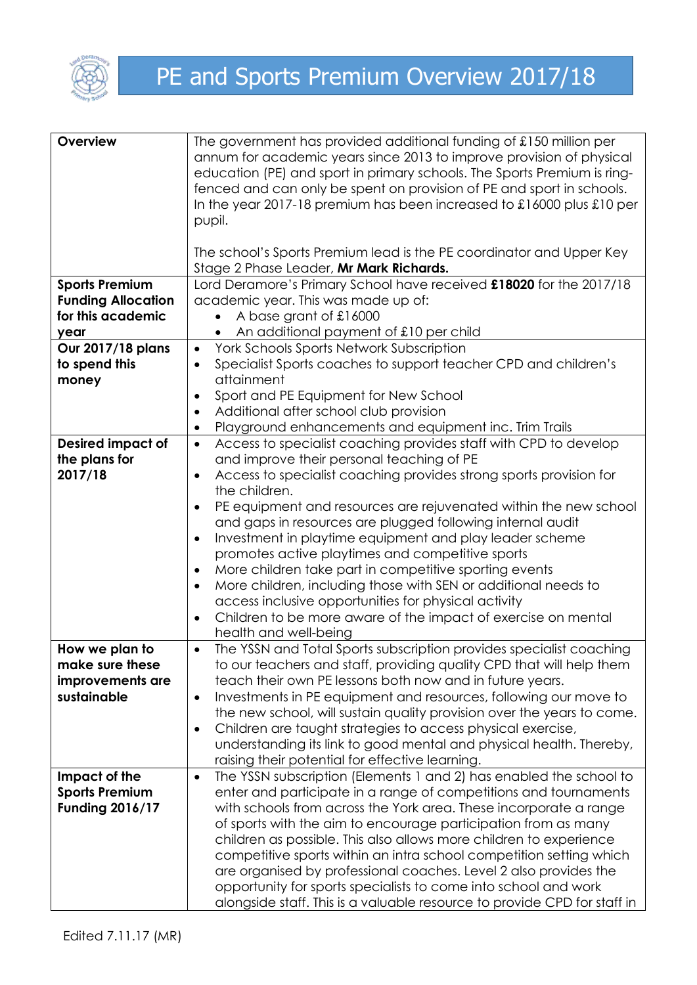

| Overview                  | The government has provided additional funding of £150 million per                    |  |  |
|---------------------------|---------------------------------------------------------------------------------------|--|--|
|                           | annum for academic years since 2013 to improve provision of physical                  |  |  |
|                           | education (PE) and sport in primary schools. The Sports Premium is ring-              |  |  |
|                           | fenced and can only be spent on provision of PE and sport in schools.                 |  |  |
|                           | In the year 2017-18 premium has been increased to $\pounds16000$ plus $\pounds10$ per |  |  |
|                           | pupil.                                                                                |  |  |
|                           |                                                                                       |  |  |
|                           |                                                                                       |  |  |
|                           | The school's Sports Premium lead is the PE coordinator and Upper Key                  |  |  |
|                           | Stage 2 Phase Leader, Mr Mark Richards.                                               |  |  |
| <b>Sports Premium</b>     | Lord Deramore's Primary School have received £18020 for the 2017/18                   |  |  |
| <b>Funding Allocation</b> | academic year. This was made up of:                                                   |  |  |
| for this academic         | A base grant of £16000                                                                |  |  |
| year                      | An additional payment of £10 per child                                                |  |  |
| Our 2017/18 plans         | York Schools Sports Network Subscription<br>$\bullet$                                 |  |  |
| to spend this             | Specialist Sports coaches to support teacher CPD and children's<br>$\bullet$          |  |  |
| money                     | attainment                                                                            |  |  |
|                           | Sport and PE Equipment for New School<br>$\bullet$                                    |  |  |
|                           | Additional after school club provision<br>٠                                           |  |  |
|                           | Playground enhancements and equipment inc. Trim Trails<br>$\bullet$                   |  |  |
| <b>Desired impact of</b>  | Access to specialist coaching provides staff with CPD to develop<br>$\bullet$         |  |  |
| the plans for             | and improve their personal teaching of PE                                             |  |  |
| 2017/18                   | Access to specialist coaching provides strong sports provision for<br>٠               |  |  |
|                           | the children.                                                                         |  |  |
|                           | PE equipment and resources are rejuvenated within the new school<br>$\bullet$         |  |  |
|                           | and gaps in resources are plugged following internal audit                            |  |  |
|                           | Investment in playtime equipment and play leader scheme<br>٠                          |  |  |
|                           | promotes active playtimes and competitive sports                                      |  |  |
|                           | More children take part in competitive sporting events<br>$\bullet$                   |  |  |
|                           | More children, including those with SEN or additional needs to<br>$\bullet$           |  |  |
|                           | access inclusive opportunities for physical activity                                  |  |  |
|                           | Children to be more aware of the impact of exercise on mental                         |  |  |
|                           | $\bullet$                                                                             |  |  |
|                           | health and well-being                                                                 |  |  |
| How we plan to            | The YSSN and Total Sports subscription provides specialist coaching<br>$\bullet$      |  |  |
| make sure these           | to our teachers and staff, providing quality CPD that will help them                  |  |  |
| improvements are          | teach their own PE lessons both now and in future years.                              |  |  |
| sustainable               | Investments in PE equipment and resources, following our move to<br>$\bullet$         |  |  |
|                           | the new school, will sustain quality provision over the years to come.                |  |  |
|                           | Children are taught strategies to access physical exercise,<br>$\bullet$              |  |  |
|                           | understanding its link to good mental and physical health. Thereby,                   |  |  |
|                           | raising their potential for effective learning.                                       |  |  |
| Impact of the             | The YSSN subscription (Elements 1 and 2) has enabled the school to<br>$\bullet$       |  |  |
| <b>Sports Premium</b>     | enter and participate in a range of competitions and tournaments                      |  |  |
| <b>Funding 2016/17</b>    | with schools from across the York area. These incorporate a range                     |  |  |
|                           | of sports with the aim to encourage participation from as many                        |  |  |
|                           | children as possible. This also allows more children to experience                    |  |  |
|                           | competitive sports within an intra school competition setting which                   |  |  |
|                           | are organised by professional coaches. Level 2 also provides the                      |  |  |
|                           | opportunity for sports specialists to come into school and work                       |  |  |
|                           | alongside staff. This is a valuable resource to provide CPD for staff in              |  |  |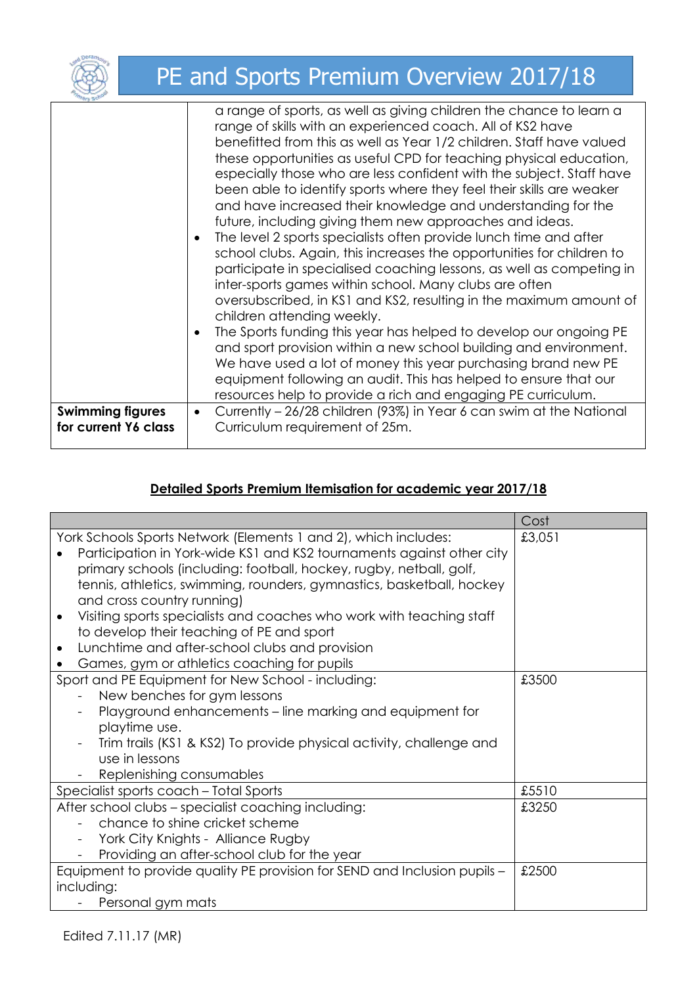|                                                 | PE and Sports Premium Overview 2017/18                                                                                                                                                                                                                                                                                                                                                                                                                                                                                                                                                                                                                                                                                                                                                                                                                                                                                                                                                                                                                                                                                                                                                                                                                                                                     |
|-------------------------------------------------|------------------------------------------------------------------------------------------------------------------------------------------------------------------------------------------------------------------------------------------------------------------------------------------------------------------------------------------------------------------------------------------------------------------------------------------------------------------------------------------------------------------------------------------------------------------------------------------------------------------------------------------------------------------------------------------------------------------------------------------------------------------------------------------------------------------------------------------------------------------------------------------------------------------------------------------------------------------------------------------------------------------------------------------------------------------------------------------------------------------------------------------------------------------------------------------------------------------------------------------------------------------------------------------------------------|
|                                                 | a range of sports, as well as giving children the chance to learn a<br>range of skills with an experienced coach. All of KS2 have<br>benefitted from this as well as Year 1/2 children. Staff have valued<br>these opportunities as useful CPD for teaching physical education,<br>especially those who are less confident with the subject. Staff have<br>been able to identify sports where they feel their skills are weaker<br>and have increased their knowledge and understanding for the<br>future, including giving them new approaches and ideas.<br>The level 2 sports specialists often provide lunch time and after<br>school clubs. Again, this increases the opportunities for children to<br>participate in specialised coaching lessons, as well as competing in<br>inter-sports games within school. Many clubs are often<br>oversubscribed, in KS1 and KS2, resulting in the maximum amount of<br>children attending weekly.<br>The Sports funding this year has helped to develop our ongoing PE<br>$\bullet$<br>and sport provision within a new school building and environment.<br>We have used a lot of money this year purchasing brand new PE<br>equipment following an audit. This has helped to ensure that our<br>resources help to provide a rich and engaging PE curriculum. |
| <b>Swimming figures</b><br>for current Y6 class | Currently - 26/28 children (93%) in Year 6 can swim at the National<br>$\bullet$<br>Curriculum requirement of 25m.                                                                                                                                                                                                                                                                                                                                                                                                                                                                                                                                                                                                                                                                                                                                                                                                                                                                                                                                                                                                                                                                                                                                                                                         |

## **Detailed Sports Premium Itemisation for academic year 2017/18**

|                                                                                                                                                                                                                                                                                                                                                                                                                                                                                                                                                                        | Cost   |
|------------------------------------------------------------------------------------------------------------------------------------------------------------------------------------------------------------------------------------------------------------------------------------------------------------------------------------------------------------------------------------------------------------------------------------------------------------------------------------------------------------------------------------------------------------------------|--------|
| York Schools Sports Network (Elements 1 and 2), which includes:<br>Participation in York-wide KS1 and KS2 tournaments against other city<br>primary schools (including: football, hockey, rugby, netball, golf,<br>tennis, athletics, swimming, rounders, gymnastics, basketball, hockey<br>and cross country running)<br>Visiting sports specialists and coaches who work with teaching staff<br>to develop their teaching of PE and sport<br>Lunchtime and after-school clubs and provision<br>$\bullet$<br>Games, gym or athletics coaching for pupils<br>$\bullet$ | £3,051 |
| Sport and PE Equipment for New School - including:                                                                                                                                                                                                                                                                                                                                                                                                                                                                                                                     | £3500  |
| New benches for gym lessons                                                                                                                                                                                                                                                                                                                                                                                                                                                                                                                                            |        |
| Playground enhancements – line marking and equipment for                                                                                                                                                                                                                                                                                                                                                                                                                                                                                                               |        |
| playtime use.                                                                                                                                                                                                                                                                                                                                                                                                                                                                                                                                                          |        |
| Trim trails (KS1 & KS2) To provide physical activity, challenge and                                                                                                                                                                                                                                                                                                                                                                                                                                                                                                    |        |
| use in lessons                                                                                                                                                                                                                                                                                                                                                                                                                                                                                                                                                         |        |
| Replenishing consumables                                                                                                                                                                                                                                                                                                                                                                                                                                                                                                                                               |        |
| Specialist sports coach - Total Sports                                                                                                                                                                                                                                                                                                                                                                                                                                                                                                                                 | £5510  |
| After school clubs - specialist coaching including:                                                                                                                                                                                                                                                                                                                                                                                                                                                                                                                    | £3250  |
| chance to shine cricket scheme                                                                                                                                                                                                                                                                                                                                                                                                                                                                                                                                         |        |
| York City Knights - Alliance Rugby                                                                                                                                                                                                                                                                                                                                                                                                                                                                                                                                     |        |
| Providing an after-school club for the year                                                                                                                                                                                                                                                                                                                                                                                                                                                                                                                            |        |
| Equipment to provide quality PE provision for SEND and Inclusion pupils -                                                                                                                                                                                                                                                                                                                                                                                                                                                                                              | £2500  |
| including:                                                                                                                                                                                                                                                                                                                                                                                                                                                                                                                                                             |        |
| Personal gym mats                                                                                                                                                                                                                                                                                                                                                                                                                                                                                                                                                      |        |